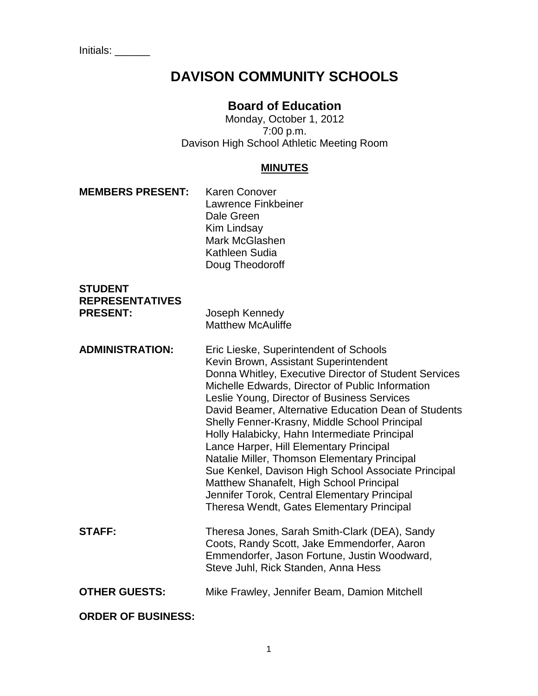# **DAVISON COMMUNITY SCHOOLS**

# **Board of Education**

Monday, October 1, 2012 7:00 p.m. Davison High School Athletic Meeting Room

## **MINUTES**

| <b>MEMBERS PRESENT:</b>                                     | <b>Karen Conover</b><br>Lawrence Finkbeiner<br>Dale Green<br>Kim Lindsay<br>Mark McGlashen<br>Kathleen Sudia<br>Doug Theodoroff                                                                                                                                                                                                                                                                                                                                                                                                                                                                                                                                                                 |
|-------------------------------------------------------------|-------------------------------------------------------------------------------------------------------------------------------------------------------------------------------------------------------------------------------------------------------------------------------------------------------------------------------------------------------------------------------------------------------------------------------------------------------------------------------------------------------------------------------------------------------------------------------------------------------------------------------------------------------------------------------------------------|
| <b>STUDENT</b><br><b>REPRESENTATIVES</b><br><b>PRESENT:</b> | Joseph Kennedy<br><b>Matthew McAuliffe</b>                                                                                                                                                                                                                                                                                                                                                                                                                                                                                                                                                                                                                                                      |
| <b>ADMINISTRATION:</b>                                      | Eric Lieske, Superintendent of Schools<br>Kevin Brown, Assistant Superintendent<br>Donna Whitley, Executive Director of Student Services<br>Michelle Edwards, Director of Public Information<br>Leslie Young, Director of Business Services<br>David Beamer, Alternative Education Dean of Students<br>Shelly Fenner-Krasny, Middle School Principal<br>Holly Halabicky, Hahn Intermediate Principal<br>Lance Harper, Hill Elementary Principal<br>Natalie Miller, Thomson Elementary Principal<br>Sue Kenkel, Davison High School Associate Principal<br>Matthew Shanafelt, High School Principal<br>Jennifer Torok, Central Elementary Principal<br>Theresa Wendt, Gates Elementary Principal |
| <b>STAFF:</b>                                               | Theresa Jones, Sarah Smith-Clark (DEA), Sandy<br>Coots, Randy Scott, Jake Emmendorfer, Aaron<br>Emmendorfer, Jason Fortune, Justin Woodward,<br>Steve Juhl, Rick Standen, Anna Hess                                                                                                                                                                                                                                                                                                                                                                                                                                                                                                             |
| <b>OTHER GUESTS:</b>                                        | Mike Frawley, Jennifer Beam, Damion Mitchell                                                                                                                                                                                                                                                                                                                                                                                                                                                                                                                                                                                                                                                    |
| <b>ORDER OF BUSINESS:</b>                                   |                                                                                                                                                                                                                                                                                                                                                                                                                                                                                                                                                                                                                                                                                                 |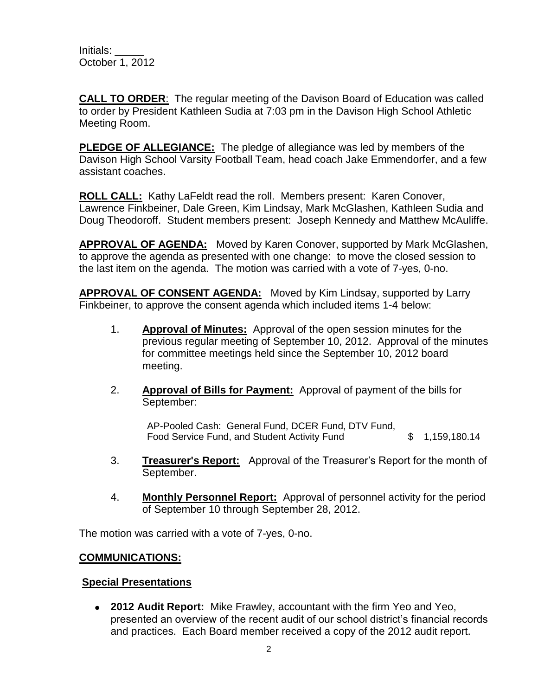**CALL TO ORDER**: The regular meeting of the Davison Board of Education was called to order by President Kathleen Sudia at 7:03 pm in the Davison High School Athletic Meeting Room.

**PLEDGE OF ALLEGIANCE:** The pledge of allegiance was led by members of the Davison High School Varsity Football Team, head coach Jake Emmendorfer, and a few assistant coaches.

**ROLL CALL:** Kathy LaFeldt read the roll. Members present: Karen Conover, Lawrence Finkbeiner, Dale Green, Kim Lindsay, Mark McGlashen, Kathleen Sudia and Doug Theodoroff. Student members present: Joseph Kennedy and Matthew McAuliffe.

**APPROVAL OF AGENDA:** Moved by Karen Conover, supported by Mark McGlashen, to approve the agenda as presented with one change: to move the closed session to the last item on the agenda. The motion was carried with a vote of 7-yes, 0-no.

**APPROVAL OF CONSENT AGENDA:** Moved by Kim Lindsay, supported by Larry Finkbeiner, to approve the consent agenda which included items 1-4 below:

- 1. **Approval of Minutes:** Approval of the open session minutes for the previous regular meeting of September 10, 2012. Approval of the minutes for committee meetings held since the September 10, 2012 board meeting.
- 2. **Approval of Bills for Payment:** Approval of payment of the bills for September:

AP-Pooled Cash: General Fund, DCER Fund, DTV Fund, Food Service Fund, and Student Activity Fund  $$ 1,159,180.14$ 

- 3. **Treasurer's Report:** Approval of the Treasurer's Report for the month of September.
- 4. **Monthly Personnel Report:** Approval of personnel activity for the period of September 10 through September 28, 2012.

The motion was carried with a vote of 7-yes, 0-no.

## **COMMUNICATIONS:**

## **Special Presentations**

**2012 Audit Report:** Mike Frawley, accountant with the firm Yeo and Yeo, presented an overview of the recent audit of our school district's financial records and practices. Each Board member received a copy of the 2012 audit report.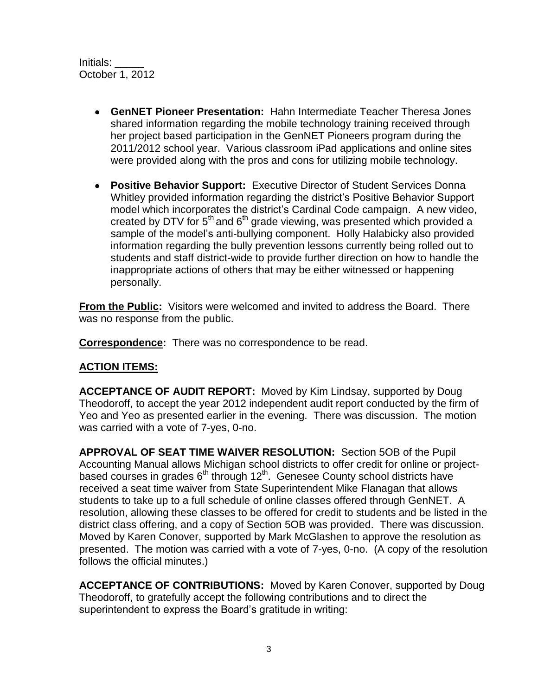- **GenNET Pioneer Presentation:** Hahn Intermediate Teacher Theresa Jones shared information regarding the mobile technology training received through her project based participation in the GenNET Pioneers program during the 2011/2012 school year. Various classroom iPad applications and online sites were provided along with the pros and cons for utilizing mobile technology.
- **Positive Behavior Support:** Executive Director of Student Services Donna Whitley provided information regarding the district's Positive Behavior Support model which incorporates the district's Cardinal Code campaign. A new video, created by DTV for  $5<sup>th</sup>$  and  $6<sup>th</sup>$  grade viewing, was presented which provided a sample of the model's anti-bullying component. Holly Halabicky also provided information regarding the bully prevention lessons currently being rolled out to students and staff district-wide to provide further direction on how to handle the inappropriate actions of others that may be either witnessed or happening personally.

**From the Public:** Visitors were welcomed and invited to address the Board. There was no response from the public.

**Correspondence:** There was no correspondence to be read.

## **ACTION ITEMS:**

**ACCEPTANCE OF AUDIT REPORT:** Moved by Kim Lindsay, supported by Doug Theodoroff, to accept the year 2012 independent audit report conducted by the firm of Yeo and Yeo as presented earlier in the evening. There was discussion. The motion was carried with a vote of 7-yes, 0-no.

**APPROVAL OF SEAT TIME WAIVER RESOLUTION:** Section 5OB of the Pupil Accounting Manual allows Michigan school districts to offer credit for online or projectbased courses in grades  $6<sup>th</sup>$  through 12<sup>th</sup>. Genesee County school districts have received a seat time waiver from State Superintendent Mike Flanagan that allows students to take up to a full schedule of online classes offered through GenNET. A resolution, allowing these classes to be offered for credit to students and be listed in the district class offering, and a copy of Section 5OB was provided. There was discussion. Moved by Karen Conover, supported by Mark McGlashen to approve the resolution as presented. The motion was carried with a vote of 7-yes, 0-no. (A copy of the resolution follows the official minutes.)

**ACCEPTANCE OF CONTRIBUTIONS:** Moved by Karen Conover, supported by Doug Theodoroff, to gratefully accept the following contributions and to direct the superintendent to express the Board's gratitude in writing: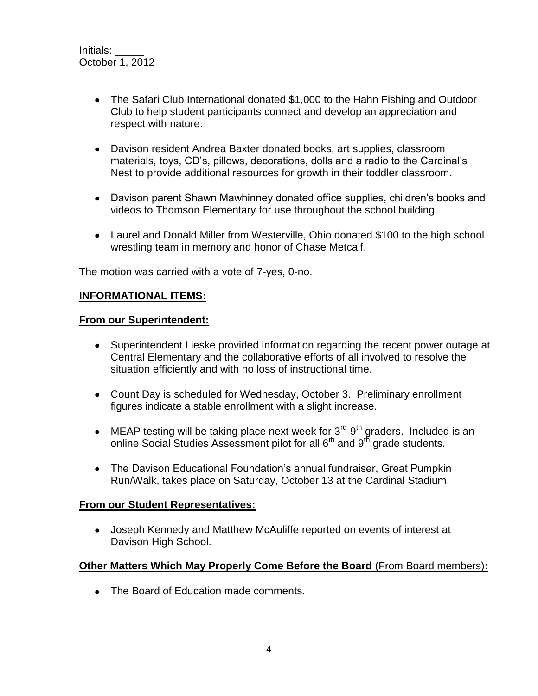- The Safari Club International donated \$1,000 to the Hahn Fishing and Outdoor Club to help student participants connect and develop an appreciation and respect with nature.
- Davison resident Andrea Baxter donated books, art supplies, classroom materials, toys, CD's, pillows, decorations, dolls and a radio to the Cardinal's Nest to provide additional resources for growth in their toddler classroom.
- Davison parent Shawn Mawhinney donated office supplies, children's books and videos to Thomson Elementary for use throughout the school building.
- Laurel and Donald Miller from Westerville, Ohio donated \$100 to the high school wrestling team in memory and honor of Chase Metcalf.

The motion was carried with a vote of 7-yes, 0-no.

#### **INFORMATIONAL ITEMS:**

#### **From our Superintendent:**

- Superintendent Lieske provided information regarding the recent power outage at Central Elementary and the collaborative efforts of all involved to resolve the situation efficiently and with no loss of instructional time.
- Count Day is scheduled for Wednesday, October 3. Preliminary enrollment figures indicate a stable enrollment with a slight increase.
- MEAP testing will be taking place next week for  $3<sup>rd</sup>$ -9<sup>th</sup> graders. Included is an online Social Studies Assessment pilot for all 6<sup>th</sup> and 9<sup>th</sup> grade students.
- The Davison Educational Foundation's annual fundraiser, Great Pumpkin Run/Walk, takes place on Saturday, October 13 at the Cardinal Stadium.

#### **From our Student Representatives:**

Joseph Kennedy and Matthew McAuliffe reported on events of interest at Davison High School.

#### **Other Matters Which May Properly Come Before the Board** (From Board members)**:**

• The Board of Education made comments.